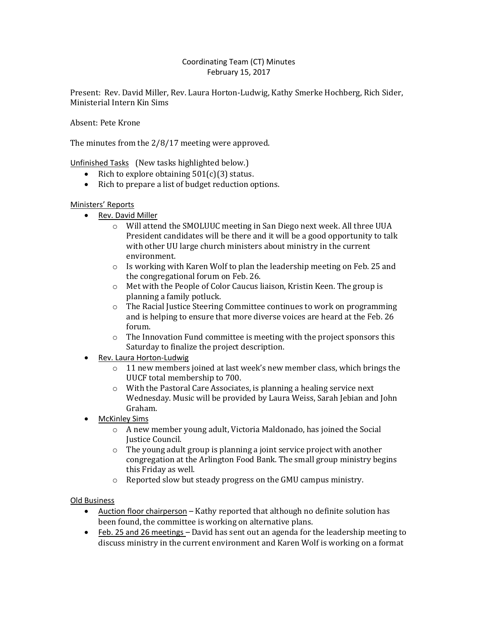# Coordinating Team (CT) Minutes February 15, 2017

Present: Rev. David Miller, Rev. Laura Horton-Ludwig, Kathy Smerke Hochberg, Rich Sider, Ministerial Intern Kin Sims

Absent: Pete Krone

The minutes from the 2/8/17 meeting were approved.

Unfinished Tasks (New tasks highlighted below.)

- Rich to explore obtaining  $501(c)(3)$  status.
- Rich to prepare a list of budget reduction options.

## Ministers' Reports

- Rev. David Miller
	- o Will attend the SMOLUUC meeting in San Diego next week. All three UUA President candidates will be there and it will be a good opportunity to talk with other UU large church ministers about ministry in the current environment.
	- o Is working with Karen Wolf to plan the leadership meeting on Feb. 25 and the congregational forum on Feb. 26.
	- o Met with the People of Color Caucus liaison, Kristin Keen. The group is planning a family potluck.
	- o The Racial Justice Steering Committee continues to work on programming and is helping to ensure that more diverse voices are heard at the Feb. 26 forum.
	- $\circ$  The Innovation Fund committee is meeting with the project sponsors this Saturday to finalize the project description.
- Rev. Laura Horton-Ludwig
	- o 11 new members joined at last week's new member class, which brings the UUCF total membership to 700.
	- o With the Pastoral Care Associates, is planning a healing service next Wednesday. Music will be provided by Laura Weiss, Sarah Jebian and John Graham.
- McKinley Sims
	- o A new member young adult, Victoria Maldonado, has joined the Social Justice Council.
	- o The young adult group is planning a joint service project with another congregation at the Arlington Food Bank. The small group ministry begins this Friday as well.
	- o Reported slow but steady progress on the GMU campus ministry.

### Old Business

- Auction floor chairperson Kathy reported that although no definite solution has been found, the committee is working on alternative plans.
- Feb. 25 and 26 meetings David has sent out an agenda for the leadership meeting to discuss ministry in the current environment and Karen Wolf is working on a format